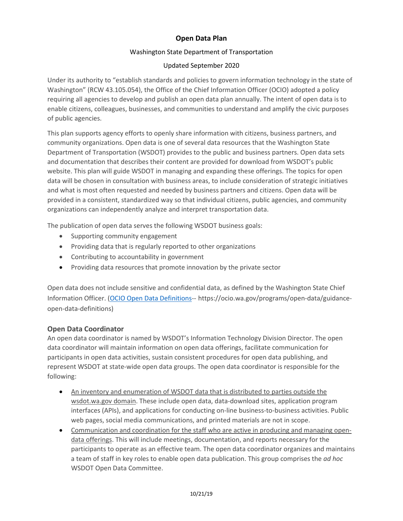# **Open Data Plan**

## Washington State Department of Transportation

#### Updated September 2020

Under its authority to "establish standards and policies to govern information technology in the state of Washington" (RCW 43.105.054), the Office of the Chief Information Officer (OCIO) adopted a policy requiring all agencies to develop and publish an open data plan annually. The intent of open data is to enable citizens, colleagues, businesses, and communities to understand and amplify the civic purposes of public agencies.

This plan supports agency efforts to openly share information with citizens, business partners, and community organizations. Open data is one of several data resources that the Washington State Department of Transportation (WSDOT) provides to the public and business partners. Open data sets and documentation that describes their content are provided for download from WSDOT's public website. This plan will guide WSDOT in managing and expanding these offerings. The topics for open data will be chosen in consultation with business areas, to include consideration of strategic initiatives and what is most often requested and needed by business partners and citizens. Open data will be provided in a consistent, standardized way so that individual citizens, public agencies, and community organizations can independently analyze and interpret transportation data.

The publication of open data serves the following WSDOT business goals:

- Supporting community engagement
- Providing data that is regularly reported to other organizations
- Contributing to accountability in government
- Providing data resources that promote innovation by the private sector

Open data does not include sensitive and confidential data, as defined by the Washington State Chief Information Officer. [\(OCIO Open Data Definitions-](https://ocio.wa.gov/programs/open-data/guidance-open-data-definitions)- https://ocio.wa.gov/programs/open-data/guidanceopen-data-definitions)

## **Open Data Coordinator**

An open data coordinator is named by WSDOT's Information Technology Division Director. The open data coordinator will maintain information on open data offerings, facilitate communication for participants in open data activities, sustain consistent procedures for open data publishing, and represent WSDOT at state-wide open data groups. The open data coordinator is responsible for the following:

- An inventory and enumeration of WSDOT data that is distributed to parties outside the wsdot.wa.gov domain. These include open data, data-download sites, application program interfaces (APIs), and applications for conducting on-line business-to-business activities. Public web pages, social media communications, and printed materials are not in scope.
- Communication and coordination for the staff who are active in producing and managing opendata offerings. This will include meetings, documentation, and reports necessary for the participants to operate as an effective team. The open data coordinator organizes and maintains a team of staff in key roles to enable open data publication. This group comprises the *ad hoc* WSDOT Open Data Committee.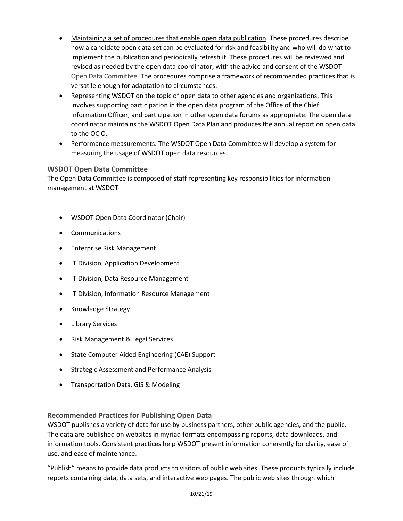- Maintaining a set of procedures that enable open data publication. These procedures describe how a candidate open data set can be evaluated for risk and feasibility and who will do what to implement the publication and periodically refresh it. These procedures will be reviewed and revised as needed by the open data coordinator, with the advice and consent of the WSDOT Open Data Committee. The procedures comprise a framework of recommended practices that is versatile enough for adaptation to circumstances.
- Representing WSDOT on the topic of open data to other agencies and organizations. This involves supporting participation in the open data program of the Office of the Chief Information Officer, and participation in other open data forums as appropriate. The open data coordinator maintains the WSDOT Open Data Plan and produces the annual report on open data to the OCIO.
- Performance measurements. The WSDOT Open Data Committee will develop a system for measuring the usage of WSDOT open data resources.

## **WSDOT Open Data Committee**

The Open Data Committee is composed of staff representing key responsibilities for information management at WSDOT—

- WSDOT Open Data Coordinator (Chair)
- Communications
- Enterprise Risk Management
- IT Division, Application Development
- IT Division, Data Resource Management
- IT Division, Information Resource Management
- Knowledge Strategy
- Library Services
- Risk Management & Legal Services
- State Computer Aided Engineering (CAE) Support
- Strategic Assessment and Performance Analysis
- Transportation Data, GIS & Modeling

#### **Recommended Practices for Publishing Open Data**

WSDOT publishes a variety of data for use by business partners, other public agencies, and the public. The data are published on websites in myriad formats encompassing reports, data downloads, and information tools. Consistent practices help WSDOT present information coherently for clarity, ease of use, and ease of maintenance.

"Publish" means to provide data products to visitors of public web sites. These products typically include reports containing data, data sets, and interactive web pages. The public web sites through which